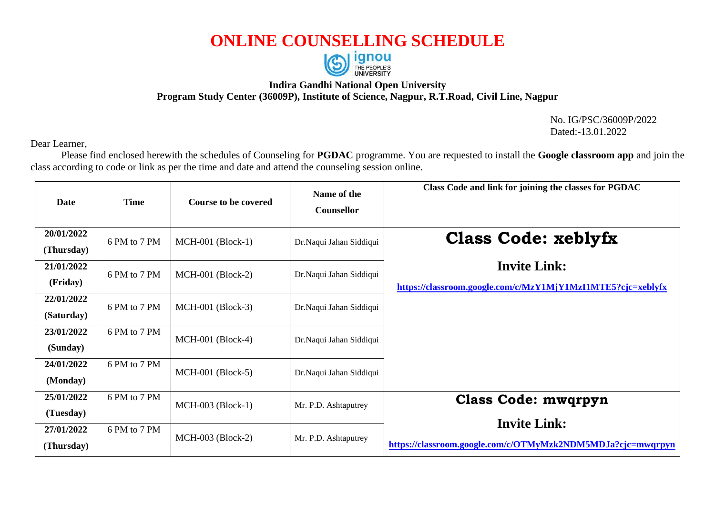## **ONLINE COUNSELLING SCHEDULE**



## **Indira Gandhi National Open University Program Study Center (36009P), Institute of Science, Nagpur, R.T.Road, Civil Line, Nagpur**

No. IG/PSC/36009P/2022 Dated:-13.01.2022

Dear Learner,

Please find enclosed herewith the schedules of Counseling for **PGDAC** programme. You are requested to install the **Google classroom app** and join the class according to code or link as per the time and date and attend the counseling session online.

| <b>Date</b>              | <b>Time</b>  | <b>Course to be covered</b> | Name of the<br>Counsellor | Class Code and link for joining the classes for PGDAC                              |
|--------------------------|--------------|-----------------------------|---------------------------|------------------------------------------------------------------------------------|
| 20/01/2022<br>(Thursday) | 6 PM to 7 PM | $MCH-001$ (Block-1)         | Dr.Naqui Jahan Siddiqui   | <b>Class Code: xeblyfx</b>                                                         |
| 21/01/2022<br>(Friday)   | 6 PM to 7 PM | $MCH-001$ (Block-2)         | Dr.Naqui Jahan Siddiqui   | <b>Invite Link:</b><br>https://classroom.google.com/c/MzY1MjY1MzI1MTE5?cjc=xeblyfx |
| 22/01/2022<br>(Saturday) | 6 PM to 7 PM | $MCH-001$ (Block-3)         | Dr.Naqui Jahan Siddiqui   |                                                                                    |
| 23/01/2022<br>(Sunday)   | 6 PM to 7 PM | $MCH-001$ (Block-4)         | Dr.Naqui Jahan Siddiqui   |                                                                                    |
| 24/01/2022<br>(Monday)   | 6 PM to 7 PM | MCH-001 (Block-5)           | Dr.Naqui Jahan Siddiqui   |                                                                                    |
| 25/01/2022<br>(Tuesday)  | 6 PM to 7 PM | MCH-003 (Block-1)           | Mr. P.D. Ashtaputrey      | <b>Class Code: mwqrpyn</b>                                                         |
| 27/01/2022<br>(Thursday) | 6 PM to 7 PM | $MCH-003$ (Block-2)         | Mr. P.D. Ashtaputrey      | <b>Invite Link:</b><br>https://classroom.google.com/c/OTMyMzk2NDM5MDJa?cjc=mwqrpyn |